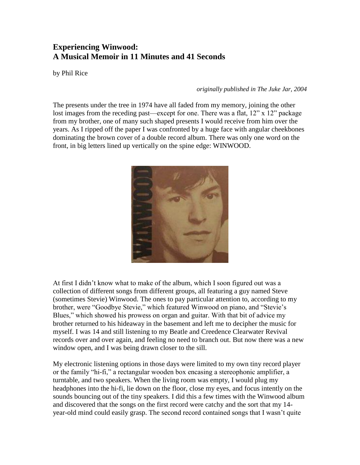## **Experiencing Winwood: A Musical Memoir in 11 Minutes and 41 Seconds**

by Phil Rice

*originally published in The Juke Jar, 2004*

The presents under the tree in 1974 have all faded from my memory, joining the other lost images from the receding past—except for one. There was a flat,  $12$ " x  $12$ " package from my brother, one of many such shaped presents I would receive from him over the years. As I ripped off the paper I was confronted by a huge face with angular cheekbones dominating the brown cover of a double record album. There was only one word on the front, in big letters lined up vertically on the spine edge: WINWOOD.



At first I didn't know what to make of the album, which I soon figured out was a collection of different songs from different groups, all featuring a guy named Steve (sometimes Stevie) Winwood. The ones to pay particular attention to, according to my brother, were "Goodbye Stevie," which featured Winwood on piano, and "Stevie's Blues," which showed his prowess on organ and guitar. With that bit of advice my brother returned to his hideaway in the basement and left me to decipher the music for myself. I was 14 and still listening to my Beatle and Creedence Clearwater Revival records over and over again, and feeling no need to branch out. But now there was a new window open, and I was being drawn closer to the sill.

My electronic listening options in those days were limited to my own tiny record player or the family "hi-fi," a rectangular wooden box encasing a stereophonic amplifier, a turntable, and two speakers. When the living room was empty, I would plug my headphones into the hi-fi, lie down on the floor, close my eyes, and focus intently on the sounds bouncing out of the tiny speakers. I did this a few times with the Winwood album and discovered that the songs on the first record were catchy and the sort that my 14 year-old mind could easily grasp. The second record contained songs that I wasn't quite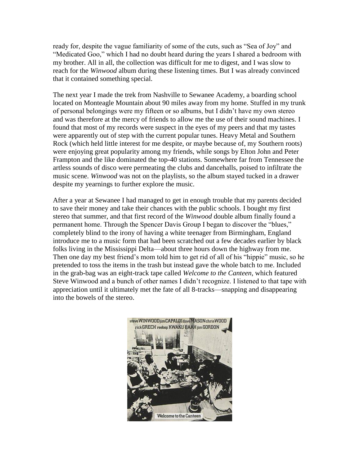ready for, despite the vague familiarity of some of the cuts, such as "Sea of Joy" and "Medicated Goo," which I had no doubt heard during the years I shared a bedroom with my brother. All in all, the collection was difficult for me to digest, and I was slow to reach for the *Winwood* album during these listening times. But I was already convinced that it contained something special.

The next year I made the trek from Nashville to Sewanee Academy, a boarding school located on Monteagle Mountain about 90 miles away from my home. Stuffed in my trunk of personal belongings were my fifteen or so albums, but I didn't have my own stereo and was therefore at the mercy of friends to allow me the use of their sound machines. I found that most of my records were suspect in the eyes of my peers and that my tastes were apparently out of step with the current popular tunes. Heavy Metal and Southern Rock (which held little interest for me despite, or maybe because of, my Southern roots) were enjoying great popularity among my friends, while songs by Elton John and Peter Frampton and the like dominated the top-40 stations. Somewhere far from Tennessee the artless sounds of disco were permeating the clubs and dancehalls, poised to infiltrate the music scene. *Winwood* was not on the playlists, so the album stayed tucked in a drawer despite my yearnings to further explore the music.

After a year at Sewanee I had managed to get in enough trouble that my parents decided to save their money and take their chances with the public schools. I bought my first stereo that summer, and that first record of the *Winwood* double album finally found a permanent home. Through the Spencer Davis Group I began to discover the "blues," completely blind to the irony of having a white teenager from Birmingham, England introduce me to a music form that had been scratched out a few decades earlier by black folks living in the Mississippi Delta—about three hours down the highway from me. Then one day my best friend's mom told him to get rid of all of his "hippie" music, so he pretended to toss the items in the trash but instead gave the whole batch to me. Included in the grab-bag was an eight-track tape called *Welcome to the Canteen*, which featured Steve Winwood and a bunch of other names I didn't recognize. I listened to that tape with appreciation until it ultimately met the fate of all 8-tracks—snapping and disappearing into the bowels of the stereo.

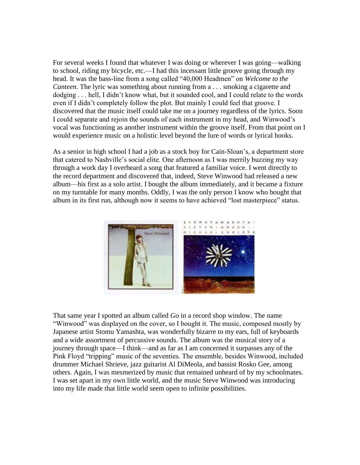For several weeks I found that whatever I was doing or wherever I was going—walking to school, riding my bicycle, etc.—I had this incessant little groove going through my head. It was the bass-line from a song called "40,000 Headmen" on *Welcome to the Canteen*. The lyric was something about running from a . . . smoking a cigarette and dodging . . . hell, I didn't know what, but it sounded cool, and I could relate to the words even if I didn't completely follow the plot. But mainly I could feel that groove. I discovered that the music itself could take me on a journey regardless of the lyrics. Soon I could separate and rejoin the sounds of each instrument in my head, and Winwood's vocal was functioning as another instrument within the groove itself. From that point on I would experience music on a holistic level beyond the lure of words or lyrical hooks.

As a senior in high school I had a job as a stock boy for Cain-Sloan's, a department store that catered to Nashville's social elite. One afternoon as I was merrily buzzing my way through a work day I overheard a song that featured a familiar voice. I went directly to the record department and discovered that, indeed, Steve Winwood had released a new album—his first as a solo artist. I bought the album immediately, and it became a fixture on my turntable for many months. Oddly, I was the only person I know who bought that album in its first run, although now it seems to have achieved "lost masterpiece" status.



That same year I spotted an album called *Go* in a record shop window. The name "Winwood" was displayed on the cover, so I bought it. The music, composed mostly by Japanese artist Stomu Yamashta, was wonderfully bizarre to my ears, full of keyboards and a wide assortment of percussive sounds. The album was the musical story of a journey through space—I think—and as far as I am concerned it surpasses any of the Pink Floyd "tripping" music of the seventies. The ensemble, besides Winwood, included drummer Michael Shrieve, jazz guitarist Al DiMeola, and bassist Rosko Gee, among others. Again, I was mesmerized by music that remained unheard of by my schoolmates. I was set apart in my own little world, and the music Steve Winwood was introducing into my life made that little world seem open to infinite possibilities.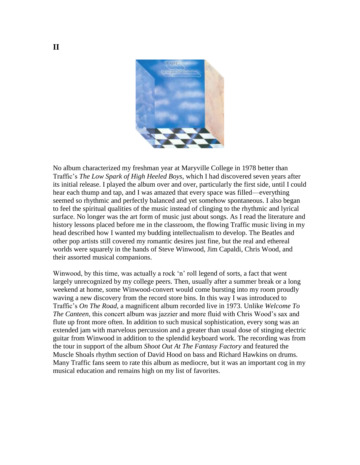

No album characterized my freshman year at Maryville College in 1978 better than Traffic's *The Low Spark of High Heeled Boys*, which I had discovered seven years after its initial release. I played the album over and over, particularly the first side, until I could hear each thump and tap, and I was amazed that every space was filled—everything seemed so rhythmic and perfectly balanced and yet somehow spontaneous. I also began to feel the spiritual qualities of the music instead of clinging to the rhythmic and lyrical surface. No longer was the art form of music just about songs. As I read the literature and history lessons placed before me in the classroom, the flowing Traffic music living in my head described how I wanted my budding intellectualism to develop. The Beatles and other pop artists still covered my romantic desires just fine, but the real and ethereal worlds were squarely in the hands of Steve Winwood, Jim Capaldi, Chris Wood, and their assorted musical companions.

Winwood, by this time, was actually a rock 'n' roll legend of sorts, a fact that went largely unrecognized by my college peers. Then, usually after a summer break or a long weekend at home, some Winwood-convert would come bursting into my room proudly waving a new discovery from the record store bins. In this way I was introduced to Traffic's *On The Road*, a magnificent album recorded live in 1973. Unlike *Welcome To The Canteen*, this concert album was jazzier and more fluid with Chris Wood's sax and flute up front more often. In addition to such musical sophistication, every song was an extended jam with marvelous percussion and a greater than usual dose of stinging electric guitar from Winwood in addition to the splendid keyboard work. The recording was from the tour in support of the album *Shoot Out At The Fantasy Factory* and featured the Muscle Shoals rhythm section of David Hood on bass and Richard Hawkins on drums. Many Traffic fans seem to rate this album as mediocre, but it was an important cog in my musical education and remains high on my list of favorites.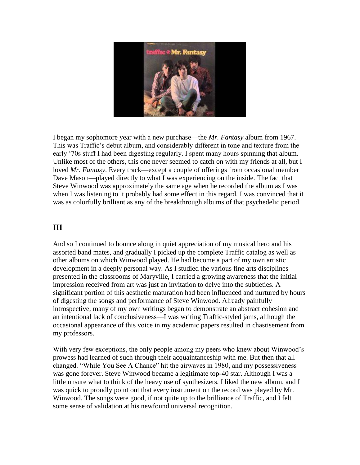

I began my sophomore year with a new purchase—the *Mr. Fantasy* album from 1967. This was Traffic's debut album, and considerably different in tone and texture from the early '70s stuff I had been digesting regularly. I spent many hours spinning that album. Unlike most of the others, this one never seemed to catch on with my friends at all, but I loved *Mr. Fantasy*. Every track—except a couple of offerings from occasional member Dave Mason—played directly to what I was experiencing on the inside. The fact that Steve Winwood was approximately the same age when he recorded the album as I was when I was listening to it probably had some effect in this regard. I was convinced that it was as colorfully brilliant as any of the breakthrough albums of that psychedelic period.

## **III**

And so I continued to bounce along in quiet appreciation of my musical hero and his assorted band mates, and gradually I picked up the complete Traffic catalog as well as other albums on which Winwood played. He had become a part of my own artistic development in a deeply personal way. As I studied the various fine arts disciplines presented in the classrooms of Maryville, I carried a growing awareness that the initial impression received from art was just an invitation to delve into the subtleties. A significant portion of this aesthetic maturation had been influenced and nurtured by hours of digesting the songs and performance of Steve Winwood. Already painfully introspective, many of my own writings began to demonstrate an abstract cohesion and an intentional lack of conclusiveness—I was writing Traffic-styled jams, although the occasional appearance of this voice in my academic papers resulted in chastisement from my professors.

With very few exceptions, the only people among my peers who knew about Winwood's prowess had learned of such through their acquaintanceship with me. But then that all changed. "While You See A Chance" hit the airwaves in 1980, and my possessiveness was gone forever. Steve Winwood became a legitimate top-40 star. Although I was a little unsure what to think of the heavy use of synthesizers, I liked the new album, and I was quick to proudly point out that every instrument on the record was played by Mr. Winwood. The songs were good, if not quite up to the brilliance of Traffic, and I felt some sense of validation at his newfound universal recognition.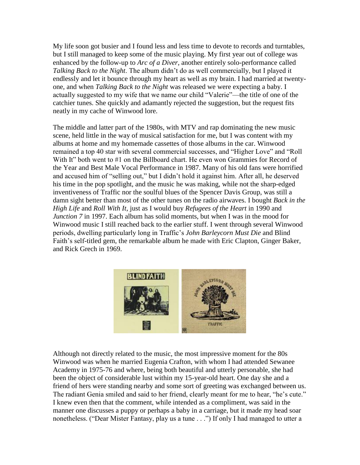My life soon got busier and I found less and less time to devote to records and turntables, but I still managed to keep some of the music playing. My first year out of college was enhanced by the follow-up to *Arc of a Diver*, another entirely solo-performance called *Talking Back to the Night*. The album didn't do as well commercially, but I played it endlessly and let it bounce through my heart as well as my brain. I had married at twentyone, and when *Talking Back to the Night* was released we were expecting a baby. I actually suggested to my wife that we name our child "Valerie"—the title of one of the catchier tunes. She quickly and adamantly rejected the suggestion, but the request fits neatly in my cache of Winwood lore.

The middle and latter part of the 1980s, with MTV and rap dominating the new music scene, held little in the way of musical satisfaction for me, but I was content with my albums at home and my homemade cassettes of those albums in the car. Winwood remained a top 40 star with several commercial successes, and "Higher Love" and "Roll With It" both went to #1 on the Billboard chart. He even won Grammies for Record of the Year and Best Male Vocal Performance in 1987. Many of his old fans were horrified and accused him of "selling out," but I didn't hold it against him. After all, he deserved his time in the pop spotlight, and the music he was making, while not the sharp-edged inventiveness of Traffic nor the soulful blues of the Spencer Davis Group, was still a damn sight better than most of the other tunes on the radio airwaves. I bought *Back in the High Life* and *Roll With It*, just as I would buy *Refugees of the Heart* in 1990 and *Junction 7* in 1997. Each album has solid moments, but when I was in the mood for Winwood music I still reached back to the earlier stuff. I went through several Winwood periods, dwelling particularly long in Traffic's *John Barleycorn Must Die* and Blind Faith's self-titled gem, the remarkable album he made with Eric Clapton, Ginger Baker, and Rick Grech in 1969.



Although not directly related to the music, the most impressive moment for the 80s Winwood was when he married Eugenia Crafton, with whom I had attended Sewanee Academy in 1975-76 and where, being both beautiful and utterly personable, she had been the object of considerable lust within my 15-year-old heart. One day she and a friend of hers were standing nearby and some sort of greeting was exchanged between us. The radiant Genia smiled and said to her friend, clearly meant for me to hear, "he's cute." I knew even then that the comment, while intended as a compliment, was said in the manner one discusses a puppy or perhaps a baby in a carriage, but it made my head soar nonetheless. ("Dear Mister Fantasy, play us a tune . . .") If only I had managed to utter a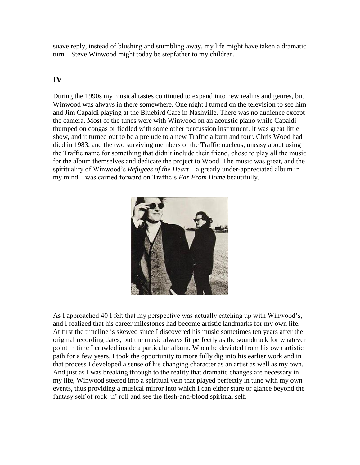suave reply, instead of blushing and stumbling away, my life might have taken a dramatic turn—Steve Winwood might today be stepfather to my children.

## **IV**

During the 1990s my musical tastes continued to expand into new realms and genres, but Winwood was always in there somewhere. One night I turned on the television to see him and Jim Capaldi playing at the Bluebird Cafe in Nashville. There was no audience except the camera. Most of the tunes were with Winwood on an acoustic piano while Capaldi thumped on congas or fiddled with some other percussion instrument. It was great little show, and it turned out to be a prelude to a new Traffic album and tour. Chris Wood had died in 1983, and the two surviving members of the Traffic nucleus, uneasy about using the Traffic name for something that didn't include their friend, chose to play all the music for the album themselves and dedicate the project to Wood. The music was great, and the spirituality of Winwood's *Refugees of the Heart*—a greatly under-appreciated album in my mind—was carried forward on Traffic's *Far From Home* beautifully.



As I approached 40 I felt that my perspective was actually catching up with Winwood's, and I realized that his career milestones had become artistic landmarks for my own life. At first the timeline is skewed since I discovered his music sometimes ten years after the original recording dates, but the music always fit perfectly as the soundtrack for whatever point in time I crawled inside a particular album. When he deviated from his own artistic path for a few years, I took the opportunity to more fully dig into his earlier work and in that process I developed a sense of his changing character as an artist as well as my own. And just as I was breaking through to the reality that dramatic changes are necessary in my life, Winwood steered into a spiritual vein that played perfectly in tune with my own events, thus providing a musical mirror into which I can either stare or glance beyond the fantasy self of rock 'n' roll and see the flesh-and-blood spiritual self.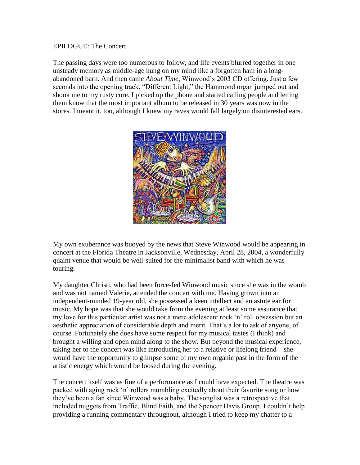## EPILOGUE: The Concert

The passing days were too numerous to follow, and life events blurred together in one unsteady memory as middle-age hung on my mind like a forgotten ham in a longabandoned barn. And then came *About Time*, Winwood's 2003 CD offering. Just a few seconds into the opening track, "Different Light," the Hammond organ jumped out and shook me to my rusty core. I picked up the phone and started calling people and letting them know that the most important album to be released in 30 years was now in the stores. I meant it, too, although I knew my raves would fall largely on disinterested ears.



My own exuberance was buoyed by the news that Steve Winwood would be appearing in concert at the Florida Theatre in Jacksonville, Wednesday, April 28, 2004, a wonderfully quaint venue that would be well-suited for the minimalist band with which he was touring.

My daughter Christi, who had been force-fed Winwood music since she was in the womb and was not named Valerie, attended the concert with me. Having grown into an independent-minded 19-year old, she possessed a keen intellect and an astute ear for music. My hope was that she would take from the evening at least some assurance that my love for this particular artist was not a mere adolescent rock 'n' roll obsession but an aesthetic appreciation of considerable depth and merit. That's a lot to ask of anyone, of course. Fortunately she does have some respect for my musical tastes (I think) and brought a willing and open mind along to the show. But beyond the musical experience, taking her to the concert was like introducing her to a relative or lifelong friend—she would have the opportunity to glimpse some of my own organic past in the form of the artistic energy which would be loosed during the evening.

The concert itself was as fine of a performance as I could have expected. The theatre was packed with aging rock 'n' rollers mumbling excitedly about their favorite song or how they've been a fan since Winwood was a baby. The songlist was a retrospective that included nuggets from Traffic, Blind Faith, and the Spencer Davis Group. I couldn't help providing a running commentary throughout, although I tried to keep my chatter to a